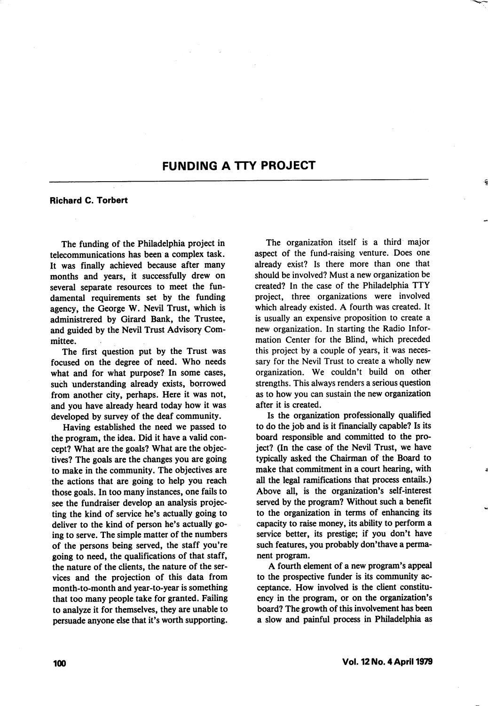## FUNDING A TTY PROJECT

## Richard C. Torbert

The funding of the Philadelphia project in telecommunications has been a complex task. It was finally achieved because after many months and years, it successfully drew on several separate resources to meet the fun damental requirements set by the funding agency, the George W. Nevil Trust, which is administrered by Girard Bank, the Trustee, and guided by the Nevil Trust Advisory Com mittee.

The first question put by the Trust was focused on the degree of need. Who needs what and for what purpose? In some cases, such understanding already exists, borrowed from another city, perhaps. Here it was not, and you have already heard today how it was developed by survey of the deaf community.

Having established the need we passed to the program, the idea. Did it have a valid con cept? What are the goals? What are the objec tives? The goals are the changes you are going to make in the community. The objectives are the actions that are going to help you reach those goals. In too many instances, one fails to see the fundraiser develop an analysis projec ting the kind of service he's actually going to deliver to the kind of person he's actually go ing to serve. The simple matter of the numbers of the persons being served, the staff you're going to need, the qualifications of that staff, the nature of the clients, the nature of the ser vices and the projection of this data from month-to-month and year-to-year is something that too many people take for granted. Failing to analyze it for themselves, they are unable to persuade anyone else that it's worth supporting.

The organization itself is a third major aspect of the fund-raising venture. Does one already exist? Is there more than one that should be involved? Must a new organization be created? In the case of the Philadelphia TTY project, three organizations were involved which already existed. A fourth was created. It is usually an expensive proposition to create a new organization. In starting the Radio Infor mation Center for the Blind, which preceded this project by a couple of years, it was neces sary for the Nevil Trust to create a wholly new organization. We couldn't build on other strengths. This always renders a serious question as to how you can sustain the new organization after it is created.

Is the organization professionally qualified to do the job and is it financially capable? Is its board responsible and committed to the pro ject? (In the case of the Nevil Trust, we have typically asked the Chairman of the Board to make that commitment in a court hearing, with all the legal ramifications that process entails.) Above all, is the organization's self-interest served by the program? Without such a benefit to the organization in terms of enhancing its capacity to raise money, its ability to perform a service better, its prestige; if you don't have such features, you probably don'thave a perma nent program.

A fourth element of a new program's appeal to the prospective funder is its community ac ceptance. How involved is the client constitu ency in the program, or on the organization's board? The growth of this involvement has been a slow and painful process in Philadelphia as